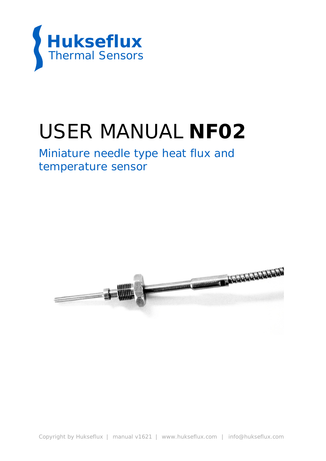

# USER MANUAL **NF02**

### Miniature needle type heat flux and temperature sensor

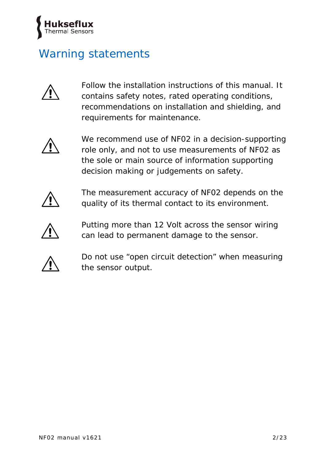

### <span id="page-1-0"></span>Warning statements



Follow the installation instructions of this manual. It contains safety notes, rated operating conditions, recommendations on installation and shielding, and requirements for maintenance.



We recommend use of NF02 in a decision-supporting role only, and not to use measurements of NF02 as the sole or main source of information supporting decision making or judgements on safety.



The measurement accuracy of NF02 depends on the quality of its thermal contact to its environment.



Putting more than 12 Volt across the sensor wiring can lead to permanent damage to the sensor.



Do not use "open circuit detection" when measuring the sensor output.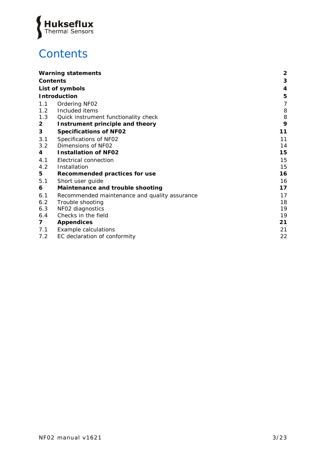

### <span id="page-2-0"></span>**Contents**

|                         | <b>Warning statements</b>                     | $\mathbf{2}$   |
|-------------------------|-----------------------------------------------|----------------|
|                         | <b>Contents</b>                               | 3              |
|                         | List of symbols                               | 4              |
|                         | <b>Introduction</b>                           | 5              |
| 1.1                     | Ordering NF02                                 | $\overline{7}$ |
| 1.2                     | Included items                                | 8              |
| 1.3                     | Quick instrument functionality check          | 8              |
| $\overline{2}$          | Instrument principle and theory               | 9              |
| 3                       | <b>Specifications of NF02</b>                 | 11             |
| 3.1                     | Specifications of NF02                        | 11             |
| 3.2                     | Dimensions of NF02                            | 14             |
| 4                       | <b>Installation of NF02</b>                   | 15             |
| 4.1                     | Electrical connection                         | 15             |
| 4.2                     | Installation                                  | 15             |
| 5                       | Recommended practices for use                 | 16             |
| 5.1                     | Short user guide                              | 16             |
| 6                       | Maintenance and trouble shooting              | 17             |
| 6.1                     | Recommended maintenance and quality assurance | 17             |
| 6.2                     | Trouble shooting                              | 18             |
| 6.3                     | NF02 diagnostics                              | 19             |
| 6.4                     | Checks in the field                           | 19             |
| $\overline{\mathbf{z}}$ | <b>Appendices</b>                             | 21             |
| 7.1                     | <b>Example calculations</b>                   | 21             |
| 7.2                     | EC declaration of conformity                  | 22             |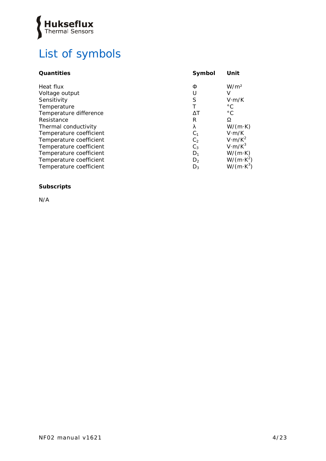

### <span id="page-3-0"></span>List of symbols

| Quantities              | Symbol         | Unit               |
|-------------------------|----------------|--------------------|
| Heat flux               | Φ              | W/m <sup>2</sup>   |
| Voltage output          | U              | v                  |
| Sensitivity             | S              | V·m/K              |
| Temperature             |                | °C                 |
| Temperature difference  | ΛT             | °C                 |
| Resistance              | R              | Ω                  |
| Thermal conductivity    | λ              | $W/(m \cdot K)$    |
| Temperature coefficient | C <sub>1</sub> | V·m/K              |
| Temperature coefficient | C <sub>2</sub> | V·m/K <sup>2</sup> |
| Temperature coefficient | $C_3$          | V·m/K <sup>3</sup> |
| Temperature coefficient | $D_1$          | $W/(m \cdot K)$    |
| Temperature coefficient | $D_2$          | $W/(m \cdot K^2)$  |
| Temperature coefficient | $D_3$          | $W/(m \cdot K^3)$  |

#### **Subscripts**

N/A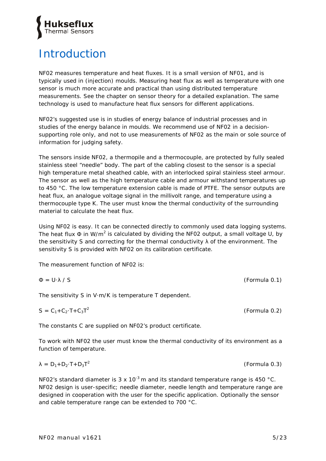

### <span id="page-4-0"></span>**Introduction**

NF02 measures temperature and heat fluxes. It is a small version of NF01, and is typically used in (injection) moulds. Measuring heat flux as well as temperature with one sensor is much more accurate and practical than using distributed temperature measurements. See the chapter on sensor theory for a detailed explanation. The same technology is used to manufacture heat flux sensors for different applications.

NF02's suggested use is in studies of energy balance of industrial processes and in studies of the energy balance in moulds. We recommend use of NF02 in a decisionsupporting role only, and not to use measurements of NF02 as the main or sole source of information for judging safety.

The sensors inside NF02, a thermopile and a thermocouple, are protected by fully sealed stainless steel "needle" body. The part of the cabling closest to the sensor is a special high temperature metal sheathed cable, with an interlocked spiral stainless steel armour. The sensor as well as the high temperature cable and armour withstand temperatures up to 450 °C. The low temperature extension cable is made of PTFE. The sensor outputs are heat flux, an analogue voltage signal in the millivolt range, and temperature using a thermocouple type K. The user must know the thermal conductivity of the surrounding material to calculate the heat flux.

Using NF02 is easy. It can be connected directly to commonly used data logging systems. The heat flux  $\Phi$  in W/m<sup>2</sup> is calculated by dividing the NF02 output, a small voltage U, by the sensitivity S and correcting for the thermal conductivity  $\lambda$  of the environment. The sensitivity S is provided with NF02 on its calibration certificate.

The measurement function of NF02 is:

| $\Phi = U \cdot \lambda / S$ | (Formula 0.1) |
|------------------------------|---------------|
|                              |               |

The sensitivity S in V·m/K is temperature T dependent.

$$
S = C_1 + C_2 \cdot T + C_3 T^2
$$

The constants C are supplied on NF02's product certificate.

To work with NF02 the user must know the thermal conductivity of its environment as a function of temperature.

$$
\lambda = D_1 + D_2 \cdot T + D_3 T^2
$$
 (Formula 0.3)

NF02's standard diameter is 3 x 10<sup>-3</sup> m and its standard temperature range is 450 °C. NF02 design is user-specific; needle diameter, needle length and temperature range are designed in cooperation with the user for the specific application. Optionally the sensor and cable temperature range can be extended to 700 °C.

 $(Formula 0.2)$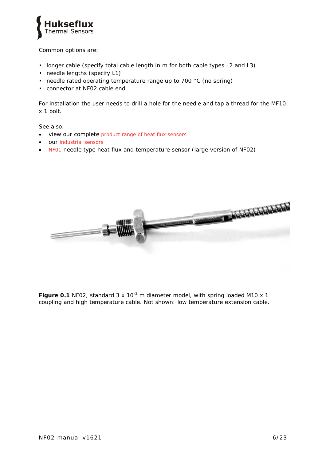

Common options are:

- longer cable (specify total cable length in m for both cable types L2 and L3)
- needle lengths (specify L1)
- needle rated operating temperature range up to 700 °C (no spring)
- connector at NF02 cable end

For installation the user needs to drill a hole for the needle and tap a thread for the MF10 x 1 bolt.

See also:

- view our complete [product range of heat flux](http://www.hukseflux.com/product_group/heat-flux-sensors) sensors
- our [industrial sensors](http://www.hukseflux.com/sites/default/files/product_group_bi_file/hukseflux_industrial_heat_flux_sensors-v1505.pdf)
- [NF01](http://www.hukseflux.com/product/nf01) needle type heat flux and temperature sensor (large version of NF02)



**Figure 0.1** *NF02, standard 3 x 10-3 m diameter model, with spring loaded M10 x 1 coupling and high temperature cable. Not shown: low temperature extension cable.*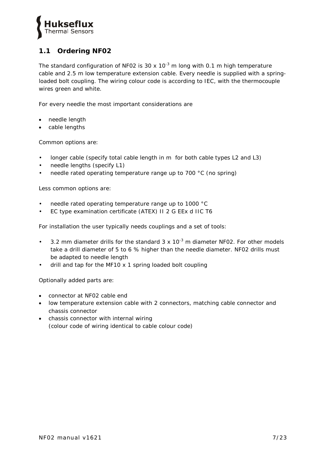

### <span id="page-6-0"></span>**1.1 Ordering NF02**

The standard configuration of NF02 is 30 x  $10^{-3}$  m long with 0.1 m high temperature cable and 2.5 m low temperature extension cable. Every needle is supplied with a springloaded bolt coupling. The wiring colour code is according to IEC, with the thermocouple wires green and white.

For every needle the most important considerations are

- needle length
- cable lengths

Common options are:

- longer cable (specify total cable length in m for both cable types L2 and L3)
- needle lengths (specify L1)
- needle rated operating temperature range up to 700 °C (no spring)

Less common options are:

- needle rated operating temperature range up to 1000 °C
- EC type examination certificate (ATEX) II 2 G EEx d IIC T6

For installation the user typically needs couplings and a set of tools:

- 3.2 mm diameter drills for the standard  $3 \times 10^{-3}$  m diameter NF02. For other models take a drill diameter of 5 to 6 % higher than the needle diameter. NF02 drills must be adapted to needle length
- drill and tap for the MF10 x 1 spring loaded bolt coupling

Optionally added parts are:

- connector at NF02 cable end
- low temperature extension cable with 2 connectors, matching cable connector and chassis connector
- chassis connector with internal wiring (colour code of wiring identical to cable colour code)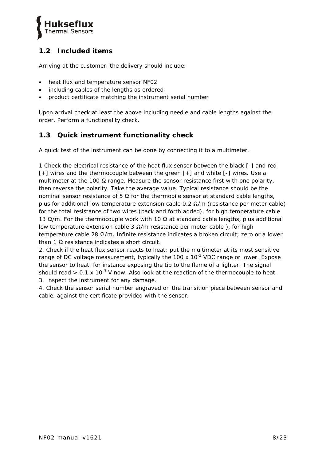

### <span id="page-7-0"></span>**1.2 Included items**

Arriving at the customer, the delivery should include:

- heat flux and temperature sensor NF02
- including cables of the lengths as ordered
- product certificate matching the instrument serial number

Upon arrival check at least the above including needle and cable lengths against the order. Perform a functionality check.

### <span id="page-7-1"></span>**1.3 Quick instrument functionality check**

A quick test of the instrument can be done by connecting it to a multimeter.

1 Check the electrical resistance of the heat flux sensor between the black [-] and red [+] wires and the thermocouple between the green [+] and white [-] wires. Use a multimeter at the 100  $\Omega$  range. Measure the sensor resistance first with one polarity, then reverse the polarity. Take the average value. Typical resistance should be the nominal sensor resistance of 5 Ω for the thermopile sensor at standard cable lengths, plus for additional low temperature extension cable 0.2  $\Omega/m$  (resistance per meter cable) for the total resistance of two wires (back and forth added), for high temperature cable 13  $Ω/m$ . For the thermocouple work with 10  $Ω$  at standard cable lengths, plus additional low temperature extension cable 3  $Ω/m$  resistance per meter cable), for high temperature cable 28 Ω/m. Infinite resistance indicates a broken circuit; zero or a lower than 1 Ω resistance indicates a short circuit.

2. Check if the heat flux sensor reacts to heat: put the multimeter at its most sensitive range of DC voltage measurement, typically the 100 x  $10^{-3}$  VDC range or lower. Expose the sensor to heat, for instance exposing the tip to the flame of a lighter. The signal should read  $> 0.1 \times 10^{-3}$  V now. Also look at the reaction of the thermocouple to heat. 3. Inspect the instrument for any damage.

4. Check the sensor serial number engraved on the transition piece between sensor and cable, against the certificate provided with the sensor.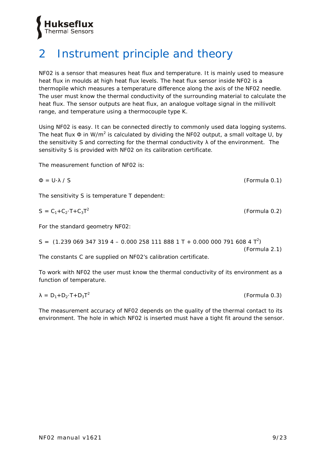#### $NFO2$  manual v1621  $9/23$

## <span id="page-8-0"></span>2 Instrument principle and theory

NF02 is a sensor that measures heat flux and temperature. It is mainly used to measure heat flux in moulds at high heat flux levels. The heat flux sensor inside NF02 is a thermopile which measures a temperature difference along the axis of the NF02 needle. The user must know the thermal conductivity of the surrounding material to calculate the heat flux. The sensor outputs are heat flux, an analogue voltage signal in the millivolt range, and temperature using a thermocouple type K.

Using NF02 is easy. It can be connected directly to commonly used data logging systems. The heat flux  $\Phi$  in W/m<sup>2</sup> is calculated by dividing the NF02 output, a small voltage U, by the sensitivity S and correcting for the thermal conductivity  $\lambda$  of the environment. The sensitivity S is provided with NF02 on its calibration certificate.

The measurement function of NF02 is:

$$
f_{\rm{max}}
$$

The sensitivity S is temperature T dependent:

$$
S = C_1 + C_2 \cdot T + C_3 T^2
$$

**Thermal Sensors** 

For the standard geometry NF02:

S =  $(1.239\ 069\ 347\ 319\ 4 - 0.000\ 258\ 111\ 888\ 1\ T + 0.000\ 000\ 791\ 608\ 4\ T^2)$ (Formula 2.1)

The constants C are supplied on NF02's calibration certificate.

To work with NF02 the user must know the thermal conductivity of its environment as a function of temperature.

 $\lambda = D_1 + D_2 \cdot T + D_3 T^2$  (Formula 0.3)

The measurement accuracy of NF02 depends on the quality of the thermal contact to its environment. The hole in which NF02 is inserted must have a tight fit around the sensor.

 $\Phi = U \cdot \lambda / S$  (Formula 0.1)

 $(Formula 0.2)$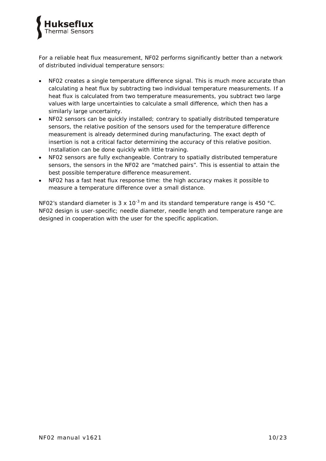

For a reliable heat flux measurement, NF02 performs significantly better than a network of distributed individual temperature sensors:

- NF02 creates a single temperature difference signal. This is much more accurate than calculating a heat flux by subtracting two individual temperature measurements. If a heat flux is calculated from two temperature measurements, you subtract two large values with large uncertainties to calculate a small difference, which then has a similarly large uncertainty.
- NF02 sensors can be quickly installed; contrary to spatially distributed temperature sensors, the relative position of the sensors used for the temperature difference measurement is already determined during manufacturing. The exact depth of insertion is not a critical factor determining the accuracy of this relative position. Installation can be done quickly with little training.
- NF02 sensors are fully exchangeable. Contrary to spatially distributed temperature sensors, the sensors in the NF02 are "matched pairs". This is essential to attain the best possible temperature difference measurement.
- NF02 has a fast heat flux response time: the high accuracy makes it possible to measure a temperature difference over a small distance.

NF02's standard diameter is 3 x  $10^{-3}$  m and its standard temperature range is 450 °C. NF02 design is user-specific; needle diameter, needle length and temperature range are designed in cooperation with the user for the specific application.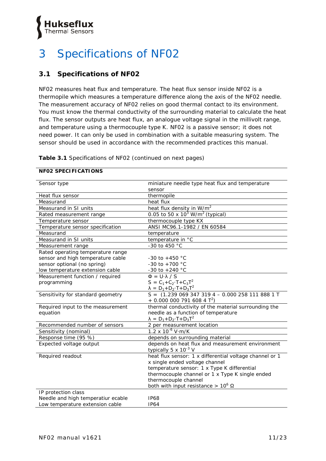### **Hukseflux Thermal Sensors**

**NF02 SPECIFICATIONS**

### <span id="page-10-0"></span>3 Specifications of NF02

### <span id="page-10-1"></span>**3.1 Specifications of NF02**

NF02 measures heat flux and temperature. The heat flux sensor inside NF02 is a thermopile which measures a temperature difference along the axis of the NF02 needle. The measurement accuracy of NF02 relies on good thermal contact to its environment. You must know the thermal conductivity of the surrounding material to calculate the heat flux. The sensor outputs are heat flux, an analogue voltage signal in the millivolt range, and temperature using a thermocouple type K. NF02 is a passive sensor; it does not need power. It can only be used in combination with a suitable measuring system. The sensor should be used in accordance with the recommended practices this manual.

| Sensor type                        | miniature needle type heat flux and temperature         |
|------------------------------------|---------------------------------------------------------|
|                                    | sensor                                                  |
| Heat flux sensor                   | thermopile                                              |
| Measurand                          | heat flux                                               |
| Measurand in SI units              | heat flux density in W/m <sup>2</sup>                   |
| Rated measurement range            | 0.05 to 50 x $10^3$ W/m <sup>2</sup> (typical)          |
| Temperature sensor                 | thermocouple type KX                                    |
| Temperature sensor specification   | ANSI MC96.1-1982 / EN 60584                             |
| Measurand                          | temperature                                             |
| Measurand in SI units              | temperature in °C                                       |
| Measurement range                  | -30 to 450 °C                                           |
| Rated operating temperature range  |                                                         |
| sensor and high temperature cable  | $-30$ to $+450$ °C                                      |
| sensor optional (no spring)        | $-30$ to $+700$ °C                                      |
| low temperature extension cable    | $-30$ to $+240$ °C                                      |
| Measurement function / required    | $\Phi = U \cdot \lambda / S$                            |
| programming                        | $S = C_1 + C_2 \cdot T + C_3 T^2$                       |
|                                    | $\lambda = D_1 + D_2 \cdot T + D_3 T^2$                 |
| Sensitivity for standard geometry  | $S = (1.2390693473194 - 0.0002581118881T)$              |
|                                    | $+$ 0.000 000 791 608 4 T <sup>2</sup> )                |
| Required input to the measurement  | thermal conductivity of the material surrounding the    |
| equation                           | needle as a function of temperature                     |
|                                    | $\lambda = D_1 + D_2 \cdot T + D_3 T^2$                 |
| Recommended number of sensors      | 2 per measurement location                              |
| Sensitivity (nominal)              | $1.2 \times 10^{-6}$ V·m/K                              |
| Response time (95 %)               | depends on surrounding material                         |
| Expected voltage output            | depends on heat flux and measurement environment        |
|                                    | typically 5 x 10-3 V                                    |
| Required readout                   | heat flux sensor: 1 x differential voltage channel or 1 |
|                                    | x single ended voltage channel                          |
|                                    | temperature sensor: 1 x Type K differential             |
|                                    | thermocouple channel or 1 x Type K single ended         |
|                                    | thermocouple channel                                    |
|                                    | both with input resistance > $10^6$ $\Omega$            |
| IP protection class                |                                                         |
| Needle and high temperatiur ecable | <b>IP68</b>                                             |
| Low temperature extension cable    | <b>IP64</b>                                             |

#### **Table 3.1** *Specifications of NF02 (continued on next pages)*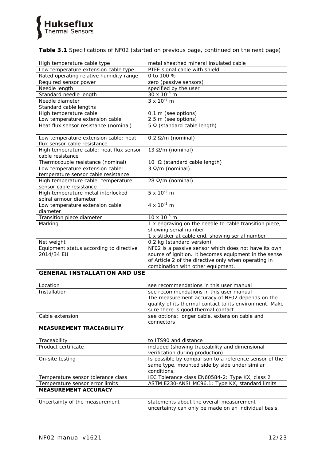

**Table 3.1** *Specifications of NF02 (started on previous page, continued on the next page)*

| High temperature cable type                                             | metal sheathed mineral insulated cable                  |
|-------------------------------------------------------------------------|---------------------------------------------------------|
| Low temperature extension cable type                                    | PTFE signal cable with shield                           |
| Rated operating relative humidity range                                 | 0 to 100 %                                              |
| Required sensor power                                                   | zero (passive sensors)                                  |
| Needle length                                                           | specified by the user                                   |
| Standard needle length                                                  | $30 \times 10^{-3}$ m                                   |
| Needle diameter                                                         | $3 \times 10^{-3}$ m                                    |
| Standard cable lengths                                                  |                                                         |
| High temperature cable                                                  | 0.1 m (see options)                                     |
| Low temperature extension cable                                         | 2.5 m (see options)                                     |
| Heat flux sensor resistance (nominal)                                   | $5 \Omega$ (standard cable length)                      |
| Low temperature extension cable: heat                                   | $0.2 \Omega/m$ (nominal)                                |
| flux sensor cable resistance                                            |                                                         |
| High temperature cable: heat flux sensor<br>cable resistance            | 13 $Ω/m$ (nominal)                                      |
| Thermocouple resistance (nominal)                                       | 10 $\Omega$ (standard cable length)                     |
| Low temperature extension cable:<br>temperature sensor cable resistance | $3 \Omega/m$ (nominal)                                  |
| High temperature cable: temperature<br>sensor cable resistance          | $28$ Ω/m (nominal)                                      |
| High temperature metal interlocked                                      | $5 \times 10^{-3}$ m                                    |
| spiral armour diameter                                                  |                                                         |
| Low temperature extension cable<br>diameter                             | $4 \times 10^{-3}$ m                                    |
| Transition piece diameter                                               | $10 \times 10^{-3}$ m                                   |
| Marking                                                                 | 1 x engraving on the needle to cable transition piece,  |
|                                                                         | showing serial number                                   |
|                                                                         | 1 x sticker at cable end, showing serial number         |
| Net weight                                                              | 0.2 kg (standard version)                               |
| Equipment status according to directive                                 | NF02 is a passive sensor which does not have its own    |
| 2014/34 EU                                                              | source of ignition. It becomes equipment in the sense   |
|                                                                         | of Article 2 of the directive only when operating in    |
|                                                                         | combination with other equipment.                       |
| <b>GENERAL INSTALLATION AND USE</b>                                     |                                                         |
| Location                                                                | see recommendations in this user manual                 |
| Installation                                                            | see recommendations in this user manual                 |
|                                                                         | The measurement accuracy of NF02 depends on the         |
|                                                                         | quality of its thermal contact to its environment. Make |
|                                                                         | sure there is good thermal contact.                     |
| Cable extension                                                         | see options: longer cable, extension cable and          |
|                                                                         | connectors                                              |
| <b>MEASUREMENT TRACEABILITY</b>                                         |                                                         |
| Traceability                                                            | to ITS90 and distance                                   |
| Product certificate                                                     | included (showing traceability and dimensional          |
|                                                                         | verification during production)                         |
| On-site testing                                                         | Is possible by comparison to a reference sensor of the  |
|                                                                         | same type, mounted side by side under similar           |
|                                                                         | conditions.                                             |
| Temperature sensor tolerance class                                      | IEC Tolerance class EN60584-2: Type KX, class 2         |
| Temperature sensor error limits                                         | ASTM E230-ANSI MC96.1: Type KX, standard limits         |
| <b>MEASUREMENT ACCURACY</b>                                             |                                                         |
|                                                                         |                                                         |

| Uncertainty of the measurement | statements about the overall measurement             |
|--------------------------------|------------------------------------------------------|
|                                | uncertainty can only be made on an individual basis. |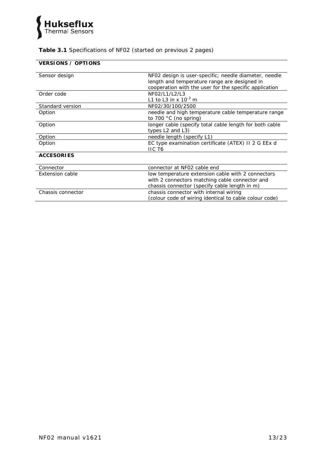

#### **Table 3.1** *Specifications of NF02 (started on previous 2 pages)*

#### **VERSIONS / OPTIONS**

| Sensor design     | NF02 design is user-specific; needle diameter, needle   |
|-------------------|---------------------------------------------------------|
|                   | length and temperature range are designed in            |
|                   | cooperation with the user for the specific application  |
| Order code        | NF02/L1/L2/L3                                           |
|                   | L1 to L3 in x $10^{-3}$ m                               |
| Standard version  | NF02/30/100/2500                                        |
| Option            | needle and high temperature cable temperature range     |
|                   | to 700 °C (no spring)                                   |
| Option            | longer cable (specify total cable length for both cable |
|                   | types L <sub>2</sub> and L <sub>3</sub> )               |
| Option            | needle length (specify L1)                              |
| Option            | EC type examination certificate (ATEX) II 2 G EEx d     |
|                   | IIC T <sub>6</sub>                                      |
| <b>ACCESORIES</b> |                                                         |
|                   |                                                         |
| Connector         | connector at NF02 cable end                             |
| Extension cable   | low temperature extension cable with 2 connectors       |
|                   | with 2 connectors matching cable connector and          |
|                   | chassis connector (specify cable length in m)           |
| Chassis connector | chassis connector with internal wiring                  |
|                   | (colour code of wiring identical to cable colour code)  |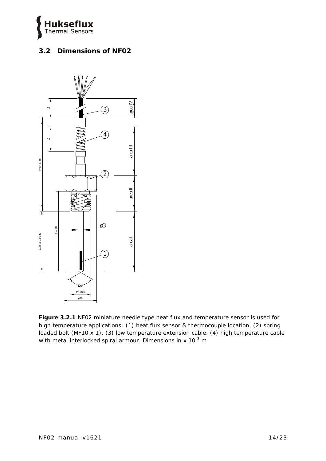

### <span id="page-13-0"></span>**3.2 Dimensions of NF02**



**Figure 3.2.1** *NF02 miniature needle type heat flux and temperature sensor is used for high temperature applications: (1) heat flux sensor & thermocouple location, (2) spring loaded bolt (MF10 x 1), (3) low temperature extension cable, (4) high temperature cable with metal interlocked spiral armour. Dimensions in x 10-3 m*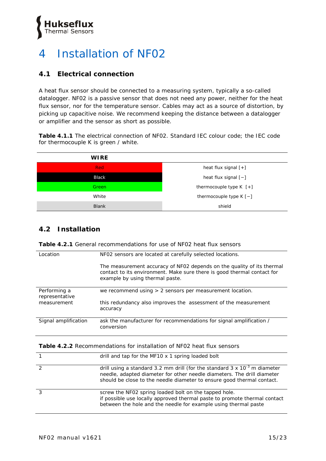

### <span id="page-14-0"></span>4 Installation of NF02

### <span id="page-14-1"></span>**4.1 Electrical connection**

A heat flux sensor should be connected to a measuring system, typically a so-called datalogger. NF02 is a passive sensor that does not need any power, neither for the heat flux sensor, nor for the temperature sensor. Cables may act as a source of distortion, by picking up capacitive noise. We recommend keeping the distance between a datalogger or amplifier and the sensor as short as possible.

**Table 4.1.1** *The electrical connection of NF02. Standard IEC colour code; the IEC code for thermocouple K is green / white.*

| <b>WIRE</b>  |                           |
|--------------|---------------------------|
| <b>Red</b>   | heat flux signal $[+]$    |
| <b>Black</b> | heat flux signal $[-]$    |
| <b>Green</b> | thermocouple type $K$ [+] |
| White        | thermocouple type $K[-]$  |
| <b>Blank</b> | shield                    |

### <span id="page-14-2"></span>**4.2 Installation**

|  |  | <b>Table 4.2.1</b> General recommendations for use of NF02 heat flux sensors |  |  |  |  |
|--|--|------------------------------------------------------------------------------|--|--|--|--|
|--|--|------------------------------------------------------------------------------|--|--|--|--|

| Location                       | NF02 sensors are located at carefully selected locations.                                                                                                                            |
|--------------------------------|--------------------------------------------------------------------------------------------------------------------------------------------------------------------------------------|
|                                | The measurement accuracy of NF02 depends on the quality of its thermal<br>contact to its environment. Make sure there is good thermal contact for<br>example by using thermal paste. |
| Performing a<br>representative | we recommend using > 2 sensors per measurement location.                                                                                                                             |
| measurement                    | this redundancy also improves the assessment of the measurement<br>accuracy                                                                                                          |
| Signal amplification           | ask the manufacturer for recommendations for signal amplification /<br>conversion                                                                                                    |

#### **Table 4.2.2** *Recommendations for installation of NF02 heat flux sensors*

| drill and tap for the MF10 x 1 spring loaded bolt                                                                                                                                                                                   |
|-------------------------------------------------------------------------------------------------------------------------------------------------------------------------------------------------------------------------------------|
| drill using a standard 3.2 mm drill (for the standard 3 x $10^{-3}$ m diameter<br>needle, adapted diameter for other needle diameters. The drill diameter<br>should be close to the needle diameter to ensure good thermal contact. |
| screw the NF02 spring loaded bolt on the tapped hole.<br>if possible use locally approved thermal paste to promote thermal contact<br>between the hole and the needle for example using thermal paste                               |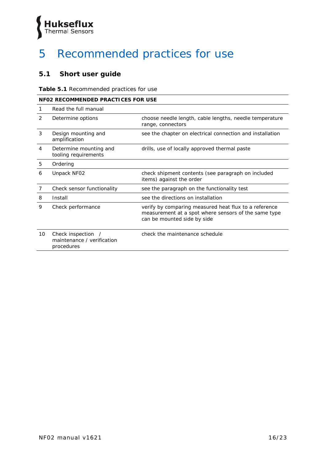

### <span id="page-15-0"></span>5 Recommended practices for use

### <span id="page-15-1"></span>**5.1 Short user guide**

#### **Table 5.1** *Recommended practices for use*

|    | NFO2 RECOMMENDED PRACTICES FOR USE                             |                                                                                                                                              |  |
|----|----------------------------------------------------------------|----------------------------------------------------------------------------------------------------------------------------------------------|--|
| 1  | Read the full manual                                           |                                                                                                                                              |  |
| 2  | Determine options                                              | choose needle length, cable lengths, needle temperature<br>range, connectors                                                                 |  |
| 3  | Design mounting and<br>amplification                           | see the chapter on electrical connection and installation                                                                                    |  |
| 4  | Determine mounting and<br>tooling requirements                 | drills, use of locally approved thermal paste                                                                                                |  |
| 5  | Ordering                                                       |                                                                                                                                              |  |
| 6  | Unpack NFO <sub>2</sub>                                        | check shipment contents (see paragraph on included<br>items) against the order                                                               |  |
| 7  | Check sensor functionality                                     | see the paragraph on the functionality test                                                                                                  |  |
| 8  | Install                                                        | see the directions on installation                                                                                                           |  |
| 9  | Check performance                                              | verify by comparing measured heat flux to a reference<br>measurement at a spot where sensors of the same type<br>can be mounted side by side |  |
| 10 | Check inspection /<br>maintenance / verification<br>procedures | check the maintenance schedule                                                                                                               |  |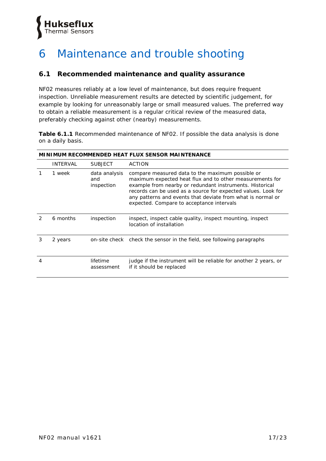

### <span id="page-16-0"></span>6 Maintenance and trouble shooting

#### <span id="page-16-1"></span>**6.1 Recommended maintenance and quality assurance**

NF02 measures reliably at a low level of maintenance, but does require frequent inspection. Unreliable measurement results are detected by scientific judgement, for example by looking for unreasonably large or small measured values. The preferred way to obtain a reliable measurement is a regular critical review of the measured data, preferably checking against other (nearby) measurements.

**Table 6.1.1** *Recommended maintenance of NF02. If possible the data analysis is done on a daily basis.*

|               | <b>INTERVAL</b> | <b>SUBJECT</b>                     | <b>ACTION</b>                                                                                                                                                                                                                                                                                                                                         |
|---------------|-----------------|------------------------------------|-------------------------------------------------------------------------------------------------------------------------------------------------------------------------------------------------------------------------------------------------------------------------------------------------------------------------------------------------------|
|               | 1 week          | data analysis<br>and<br>inspection | compare measured data to the maximum possible or<br>maximum expected heat flux and to other measurements for<br>example from nearby or redundant instruments. Historical<br>records can be used as a source for expected values. Look for<br>any patterns and events that deviate from what is normal or<br>expected. Compare to acceptance intervals |
| $\mathcal{L}$ | 6 months        | inspection                         | inspect, inspect cable quality, inspect mounting, inspect<br>location of installation                                                                                                                                                                                                                                                                 |
| 3             | 2 years         |                                    | on-site check check the sensor in the field, see following paragraphs                                                                                                                                                                                                                                                                                 |
| 4             |                 | lifetime<br>assessment             | judge if the instrument will be reliable for another 2 years, or<br>if it should be replaced                                                                                                                                                                                                                                                          |

#### **MINIMUM RECOMMENDED HEAT FLUX SENSOR MAINTENANCE**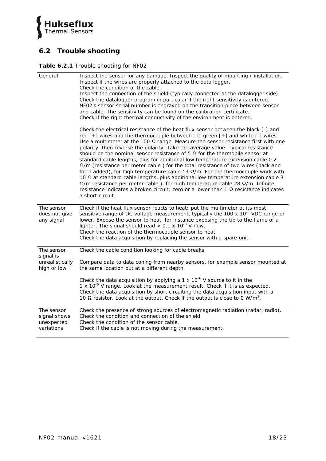

### <span id="page-17-0"></span>**6.2 Trouble shooting**

#### **Table 6.2.1** *Trouble shooting for NF02*

| General                                                | Inspect the sensor for any damage. Inspect the quality of mounting / installation.<br>Inspect if the wires are properly attached to the data logger.<br>Check the condition of the cable.<br>Inspect the connection of the shield (typically connected at the datalogger side).<br>Check the datalogger program in particular if the right sensitivity is entered.<br>NF02's sensor serial number is engraved on the transition piece between sensor<br>and cable. The sensitivity can be found on the calibration certificate.<br>Check if the right thermal conductivity of the environment is entered.                                                                                                                                                                                                                                                                                                                                                                                                                        |
|--------------------------------------------------------|----------------------------------------------------------------------------------------------------------------------------------------------------------------------------------------------------------------------------------------------------------------------------------------------------------------------------------------------------------------------------------------------------------------------------------------------------------------------------------------------------------------------------------------------------------------------------------------------------------------------------------------------------------------------------------------------------------------------------------------------------------------------------------------------------------------------------------------------------------------------------------------------------------------------------------------------------------------------------------------------------------------------------------|
|                                                        | Check the electrical resistance of the heat flux sensor between the black [-] and<br>red [+] wires and the thermocouple between the green [+] and white [-] wires.<br>Use a multimeter at the 100 $\Omega$ range. Measure the sensor resistance first with one<br>polarity, then reverse the polarity. Take the average value. Typical resistance<br>should be the nominal sensor resistance of $5 \Omega$ for the thermopile sensor at<br>standard cable lengths, plus for additional low temperature extension cable 0.2<br>$\Omega/m$ (resistance per meter cable ) for the total resistance of two wires (back and<br>forth added), for high temperature cable 13 $\Omega/m$ . For the thermocouple work with<br>10 $\Omega$ at standard cable lengths, plus additional low temperature extension cable 3<br>$\Omega/m$ resistance per meter cable ), for high temperature cable 28 $\Omega/m$ . Infinite<br>resistance indicates a broken circuit; zero or a lower than 1 $\Omega$ resistance indicates<br>a short circuit. |
| The sensor<br>does not give<br>any signal              | Check if the heat flux sensor reacts to heat: put the multimeter at its most<br>sensitive range of DC voltage measurement, typically the 100 x 10 <sup>-3</sup> VDC range or<br>lower. Expose the sensor to heat, for instance exposing the tip to the flame of a<br>lighter. The signal should read $> 0.1 \times 10^{-3}$ V now.<br>Check the reaction of the thermocouple sensor to heat.<br>Check the data acquisition by replacing the sensor with a spare unit.                                                                                                                                                                                                                                                                                                                                                                                                                                                                                                                                                            |
| The sensor<br>signal is                                | Check the cable condition looking for cable breaks.                                                                                                                                                                                                                                                                                                                                                                                                                                                                                                                                                                                                                                                                                                                                                                                                                                                                                                                                                                              |
| unrealistically<br>high or low                         | Compare data to data coning from nearby sensors, for example sensor mounted at<br>the same location but at a different depth.                                                                                                                                                                                                                                                                                                                                                                                                                                                                                                                                                                                                                                                                                                                                                                                                                                                                                                    |
|                                                        | Check the data acquisition by applying a 1 $\times$ 10 <sup>-6</sup> V source to it in the<br>$1 \times 10^{-6}$ V range. Look at the measurement result. Check if it is as expected.<br>Check the data acquisition by short circuiting the data acquisition input with a<br>10 $\Omega$ resistor. Look at the output. Check if the output is close to 0 W/m <sup>2</sup> .                                                                                                                                                                                                                                                                                                                                                                                                                                                                                                                                                                                                                                                      |
| The sensor<br>signal shows<br>unexpected<br>variations | Check the presence of strong sources of electromagnetic radiation (radar, radio).<br>Check the condition and connection of the shield.<br>Check the condition of the sensor cable.                                                                                                                                                                                                                                                                                                                                                                                                                                                                                                                                                                                                                                                                                                                                                                                                                                               |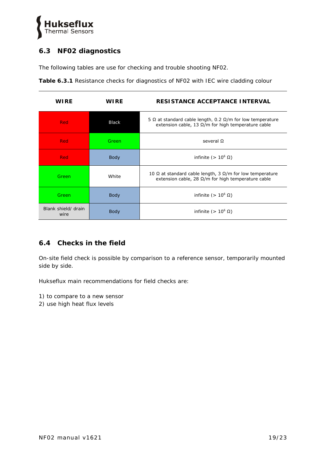

### <span id="page-18-0"></span>**6.3 NF02 diagnostics**

The following tables are use for checking and trouble shooting NF02.

**Table 6.3.1** *Resistance checks for diagnostics of NF02 with IEC wire cladding colour*

| <b>WIRE</b>                 | <b>WIRE</b>  | <b>RESISTANCE ACCEPTANCE INTERVAL</b>                                                                                         |
|-----------------------------|--------------|-------------------------------------------------------------------------------------------------------------------------------|
| Red                         | <b>Black</b> | 5 Ω at standard cable length, 0.2 $\Omega/m$ for low temperature<br>extension cable, 13 $\Omega/m$ for high temperature cable |
| Red                         | Green        | several $\Omega$                                                                                                              |
| Red                         | <b>Body</b>  | infinite (> 10 <sup>6</sup> Ω)                                                                                                |
| Green                       | White        | 10 Ω at standard cable length, 3 $\Omega/m$ for low temperature<br>extension cable, 28 $\Omega/m$ for high temperature cable  |
| <b>Green</b>                | <b>Body</b>  | infinite (> 10 <sup>6</sup> Ω)                                                                                                |
| Blank shield/ drain<br>wire | <b>Body</b>  | infinite (> $10^6$ Ω)                                                                                                         |

### <span id="page-18-1"></span>**6.4 Checks in the field**

On-site field check is possible by comparison to a reference sensor, temporarily mounted side by side.

Hukseflux main recommendations for field checks are:

- 1) to compare to a new sensor
- 2) use high heat flux levels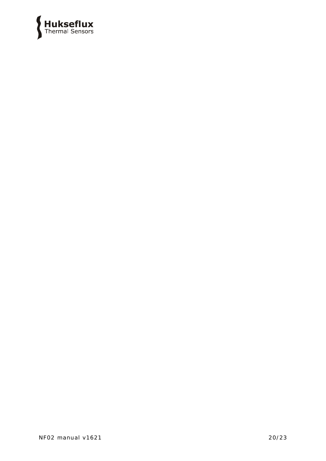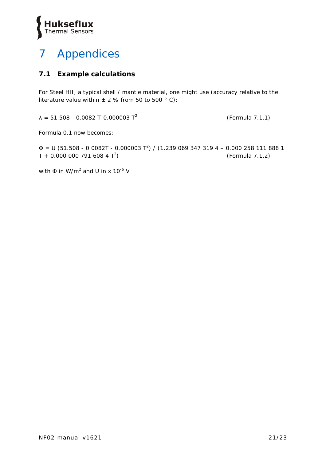

### <span id="page-20-0"></span>7 Appendices

### <span id="page-20-1"></span>**7.1 Example calculations**

For Steel HII, a typical shell / mantle material, one might use (accuracy relative to the literature value within  $\pm$  2 % from 50 to 500  $^{\circ}$  C):

 $\lambda = 51.508 - 0.0082$  T-0.000003 T<sup>2</sup> (Formula 7.1.1)

Formula 0.1 now becomes:

 $\Phi$  = U (51.508 - 0.0082T - 0.000003 T<sup>2</sup>) / (1.239 069 347 319 4 - 0.000 258 111 888 1  $T + 0.00000007916084T^2$ ) (Formula 7.1.2)

with  $\Phi$  in W/m<sup>2</sup> and U in x 10<sup>-6</sup> V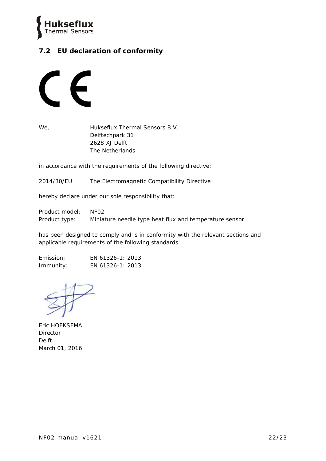

### <span id="page-21-0"></span>**7.2 EU declaration of conformity**



We, **Hukseflux Thermal Sensors B.V.** Delftechpark 31 2628 XJ Delft The Netherlands

in accordance with the requirements of the following directive:

2014/30/EU The Electromagnetic Compatibility Directive

hereby declare under our sole responsibility that:

Product model: NF02 Product type: Miniature needle type heat flux and temperature sensor

has been designed to comply and is in conformity with the relevant sections and applicable requirements of the following standards:

Emission: EN 61326-1: 2013 Immunity: EN 61326-1: 2013

Eric HOEKSEMA **Director** Delft March 01, 2016